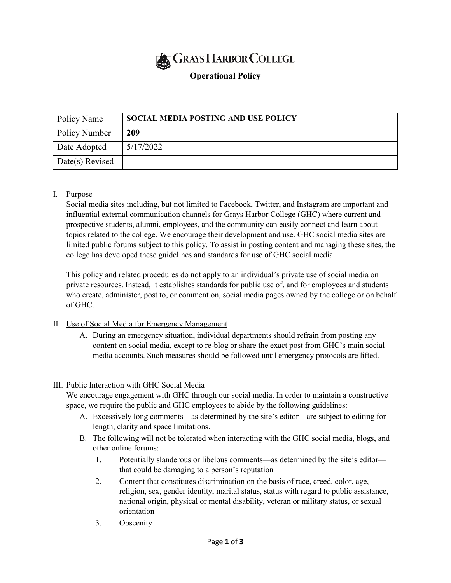

# **Operational Policy**

| Policy Name     | <b>SOCIAL MEDIA POSTING AND USE POLICY</b> |
|-----------------|--------------------------------------------|
| Policy Number   | 209                                        |
| Date Adopted    | 5/17/2022                                  |
| Date(s) Revised |                                            |

## I. Purpose

Social media sites including, but not limited to Facebook, Twitter, and Instagram are important and influential external communication channels for Grays Harbor College (GHC) where current and prospective students, alumni, employees, and the community can easily connect and learn about topics related to the college. We encourage their development and use. GHC social media sites are limited public forums subject to this policy. To assist in posting content and managing these sites, the college has developed these guidelines and standards for use of GHC social media.

This policy and related procedures do not apply to an individual's private use of social media on private resources. Instead, it establishes standards for public use of, and for employees and students who create, administer, post to, or comment on, social media pages owned by the college or on behalf of GHC.

## II. Use of Social Media for Emergency Management

A. During an emergency situation, individual departments should refrain from posting any content on social media, except to re-blog or share the exact post from GHC's main social media accounts. Such measures should be followed until emergency protocols are lifted.

#### III. Public Interaction with GHC Social Media

We encourage engagement with GHC through our social media. In order to maintain a constructive space, we require the public and GHC employees to abide by the following guidelines:

- A. Excessively long comments—as determined by the site's editor—are subject to editing for length, clarity and space limitations.
- B. The following will not be tolerated when interacting with the GHC social media, blogs, and other online forums:
	- 1. Potentially slanderous or libelous comments—as determined by the site's editor that could be damaging to a person's reputation
	- 2. Content that constitutes discrimination on the basis of race, creed, color, age, religion, sex, gender identity, marital status, status with regard to public assistance, national origin, physical or mental disability, veteran or military status, or sexual orientation
	- 3. Obscenity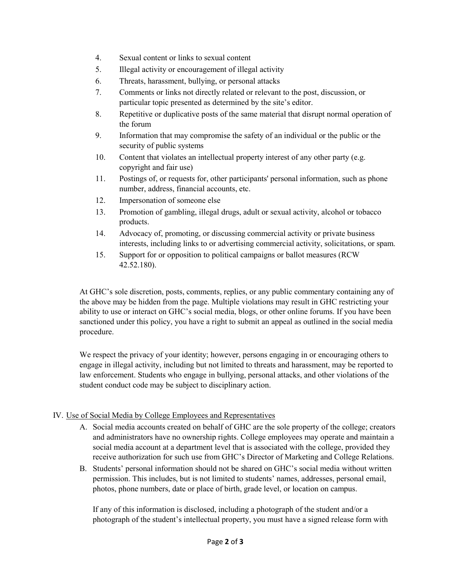- 4. Sexual content or links to sexual content
- 5. Illegal activity or encouragement of illegal activity
- 6. Threats, harassment, bullying, or personal attacks
- 7. Comments or links not directly related or relevant to the post, discussion, or particular topic presented as determined by the site's editor.
- 8. Repetitive or duplicative posts of the same material that disrupt normal operation of the forum
- 9. Information that may compromise the safety of an individual or the public or the security of public systems
- 10. Content that violates an intellectual property interest of any other party (e.g. copyright and fair use)
- 11. Postings of, or requests for, other participants' personal information, such as phone number, address, financial accounts, etc.
- 12. Impersonation of someone else
- 13. Promotion of gambling, illegal drugs, adult or sexual activity, alcohol or tobacco products.
- 14. Advocacy of, promoting, or discussing commercial activity or private business interests, including links to or advertising commercial activity, solicitations, or spam.
- 15. Support for or opposition to political campaigns or ballot measures (RCW 42.52.180).

At GHC's sole discretion, posts, comments, replies, or any public commentary containing any of the above may be hidden from the page. Multiple violations may result in GHC restricting your ability to use or interact on GHC's social media, blogs, or other online forums. If you have been sanctioned under this policy, you have a right to submit an appeal as outlined in the social media procedure.

We respect the privacy of your identity; however, persons engaging in or encouraging others to engage in illegal activity, including but not limited to threats and harassment, may be reported to law enforcement. Students who engage in bullying, personal attacks, and other violations of the student conduct code may be subject to disciplinary action.

#### IV. Use of Social Media by College Employees and Representatives

- A. Social media accounts created on behalf of GHC are the sole property of the college; creators and administrators have no ownership rights. College employees may operate and maintain a social media account at a department level that is associated with the college, provided they receive authorization for such use from GHC's Director of Marketing and College Relations.
- B. Students' personal information should not be shared on GHC's social media without written permission. This includes, but is not limited to students' names, addresses, personal email, photos, phone numbers, date or place of birth, grade level, or location on campus.

If any of this information is disclosed, including a photograph of the student and/or a photograph of the student's intellectual property, you must have a signed release form with